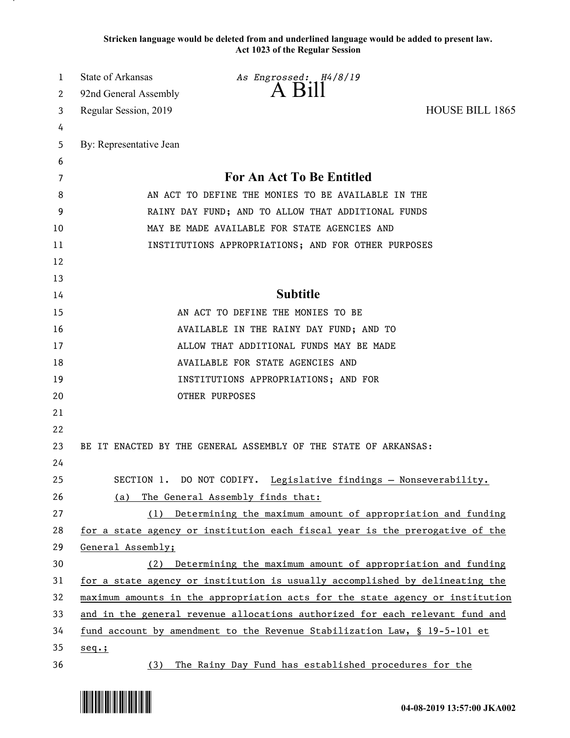**Stricken language would be deleted from and underlined language would be added to present law. Act 1023 of the Regular Session**

| 1  | <b>State of Arkansas</b> | As Engrossed: H4/8/19                                                         |                        |
|----|--------------------------|-------------------------------------------------------------------------------|------------------------|
| 2  | 92nd General Assembly    | $A$ Bill                                                                      |                        |
| 3  | Regular Session, 2019    |                                                                               | <b>HOUSE BILL 1865</b> |
| 4  |                          |                                                                               |                        |
| 5  | By: Representative Jean  |                                                                               |                        |
| 6  |                          |                                                                               |                        |
| 7  |                          | For An Act To Be Entitled                                                     |                        |
| 8  |                          | AN ACT TO DEFINE THE MONIES TO BE AVAILABLE IN THE                            |                        |
| 9  |                          | RAINY DAY FUND; AND TO ALLOW THAT ADDITIONAL FUNDS                            |                        |
| 10 |                          | MAY BE MADE AVAILABLE FOR STATE AGENCIES AND                                  |                        |
| 11 |                          | INSTITUTIONS APPROPRIATIONS; AND FOR OTHER PURPOSES                           |                        |
| 12 |                          |                                                                               |                        |
| 13 |                          |                                                                               |                        |
| 14 |                          | <b>Subtitle</b>                                                               |                        |
| 15 |                          | AN ACT TO DEFINE THE MONIES TO BE                                             |                        |
| 16 |                          | AVAILABLE IN THE RAINY DAY FUND; AND TO                                       |                        |
| 17 |                          | ALLOW THAT ADDITIONAL FUNDS MAY BE MADE                                       |                        |
| 18 |                          | AVAILABLE FOR STATE AGENCIES AND                                              |                        |
| 19 |                          | INSTITUTIONS APPROPRIATIONS; AND FOR                                          |                        |
| 20 |                          | OTHER PURPOSES                                                                |                        |
| 21 |                          |                                                                               |                        |
| 22 |                          |                                                                               |                        |
| 23 |                          | BE IT ENACTED BY THE GENERAL ASSEMBLY OF THE STATE OF ARKANSAS:               |                        |
| 24 |                          |                                                                               |                        |
| 25 |                          | SECTION 1. DO NOT CODIFY. Legislative findings - Nonseverability.             |                        |
| 26 | (a)                      | The General Assembly finds that:                                              |                        |
| 27 | (1)                      | Determining the maximum amount of appropriation and funding                   |                        |
| 28 |                          | for a state agency or institution each fiscal year is the prerogative of the  |                        |
| 29 | General Assembly;        |                                                                               |                        |
| 30 | (2)                      | Determining the maximum amount of appropriation and funding                   |                        |
| 31 |                          | for a state agency or institution is usually accomplished by delineating the  |                        |
| 32 |                          | maximum amounts in the appropriation acts for the state agency or institution |                        |
| 33 |                          | and in the general revenue allocations authorized for each relevant fund and  |                        |
| 34 |                          | fund account by amendment to the Revenue Stabilization Law, § 19-5-101 et     |                        |
| 35 | $seq.$ ;                 |                                                                               |                        |
| 36 | (3)                      | The Rainy Day Fund has established procedures for the                         |                        |

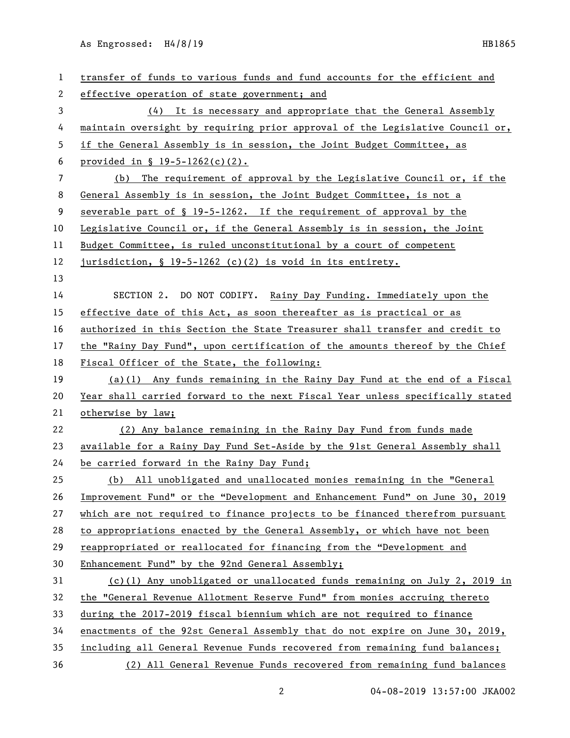As Engrossed: H4/8/19 HB1865

| 1  | transfer of funds to various funds and fund accounts for the efficient and    |
|----|-------------------------------------------------------------------------------|
| 2  | effective operation of state government; and                                  |
| 3  | (4) It is necessary and appropriate that the General Assembly                 |
| 4  | maintain oversight by requiring prior approval of the Legislative Council or, |
| 5  | if the General Assembly is in session, the Joint Budget Committee, as         |
| 6  | provided in $\S$ 19-5-1262(c)(2).                                             |
| 7  | (b) The requirement of approval by the Legislative Council or, if the         |
| 8  | General Assembly is in session, the Joint Budget Committee, is not a          |
| 9  | severable part of § 19-5-1262. If the requirement of approval by the          |
| 10 | Legislative Council or, if the General Assembly is in session, the Joint      |
| 11 | Budget Committee, is ruled unconstitutional by a court of competent           |
| 12 | jurisdiction, $\S$ 19-5-1262 (c)(2) is void in its entirety.                  |
| 13 |                                                                               |
| 14 | SECTION 2. DO NOT CODIFY. Rainy Day Funding. Immediately upon the             |
| 15 | effective date of this Act, as soon thereafter as is practical or as          |
| 16 | authorized in this Section the State Treasurer shall transfer and credit to   |
| 17 | the "Rainy Day Fund", upon certification of the amounts thereof by the Chief  |
| 18 | Fiscal Officer of the State, the following:                                   |
| 19 | $(a)(1)$ Any funds remaining in the Rainy Day Fund at the end of a Fiscal     |
| 20 | Year shall carried forward to the next Fiscal Year unless specifically stated |
| 21 | otherwise by law;                                                             |
| 22 | (2) Any balance remaining in the Rainy Day Fund from funds made               |
| 23 | available for a Rainy Day Fund Set-Aside by the 91st General Assembly shall   |
| 24 | be carried forward in the Rainy Day Fund;                                     |
| 25 | (b) All unobligated and unallocated monies remaining in the "General          |
| 26 | Improvement Fund" or the "Development and Enhancement Fund" on June 30, 2019  |
| 27 | which are not required to finance projects to be financed therefrom pursuant  |
| 28 | to appropriations enacted by the General Assembly, or which have not been     |
| 29 | reappropriated or reallocated for financing from the "Development and         |
| 30 | Enhancement Fund" by the 92nd General Assembly;                               |
| 31 | $(c)(1)$ Any unobligated or unallocated funds remaining on July 2, 2019 in    |
| 32 | the "General Revenue Allotment Reserve Fund" from monies accruing thereto     |
| 33 | during the 2017-2019 fiscal biennium which are not required to finance        |
| 34 | enactments of the 92st General Assembly that do not expire on June 30, 2019,  |
| 35 |                                                                               |
|    | including all General Revenue Funds recovered from remaining fund balances;   |

2 04-08-2019 13:57:00 JKA002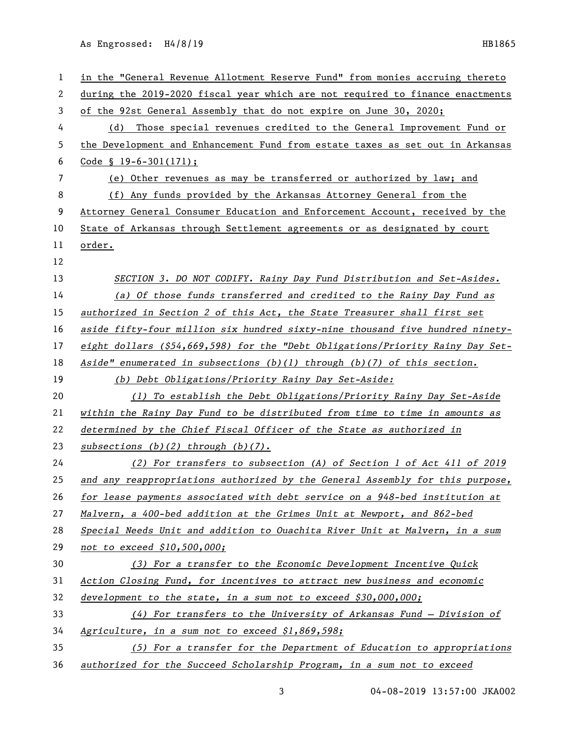As Engrossed: H4/8/19 HB1865

| 1  | in the "General Revenue Allotment Reserve Fund" from monies accruing thereto   |
|----|--------------------------------------------------------------------------------|
| 2  | during the 2019-2020 fiscal year which are not required to finance enactments  |
| 3  | of the 92st General Assembly that do not expire on June 30, 2020;              |
| 4  | Those special revenues credited to the General Improvement Fund or<br>(d)      |
| 5  | the Development and Enhancement Fund from estate taxes as set out in Arkansas  |
| 6  | Code $$19-6-301(171);$                                                         |
| 7  | (e) Other revenues as may be transferred or authorized by law; and             |
| 8  | (f) Any funds provided by the Arkansas Attorney General from the               |
| 9  | Attorney General Consumer Education and Enforcement Account, received by the   |
| 10 | State of Arkansas through Settlement agreements or as designated by court      |
| 11 | order.                                                                         |
| 12 |                                                                                |
| 13 | SECTION 3. DO NOT CODIFY. Rainy Day Fund Distribution and Set-Asides.          |
| 14 | (a) Of those funds transferred and credited to the Rainy Day Fund as           |
| 15 | authorized in Section 2 of this Act, the State Treasurer shall first set       |
| 16 | aside fifty-four million six hundred sixty-nine thousand five hundred ninety-  |
| 17 | eight dollars (\$54,669,598) for the "Debt Obligations/Priority Rainy Day Set- |
| 18 | Aside" enumerated in subsections $(b)(1)$ through $(b)(7)$ of this section.    |
| 19 | (b) Debt Obligations/Priority Rainy Day Set-Aside:                             |
| 20 | (1) To establish the Debt Obligations/Priority Rainy Day Set-Aside             |
| 21 | within the Rainy Day Fund to be distributed from time to time in amounts as    |
| 22 | determined by the Chief Fiscal Officer of the State as authorized in           |
| 23 | subsections (b)(2) through (b)(7).                                             |
| 24 | (2) For transfers to subsection (A) of Section 1 of Act 411 of 2019            |
| 25 | and any reappropriations authorized by the General Assembly for this purpose,  |
| 26 | for lease payments associated with debt service on a 948-bed institution at    |
| 27 | Malvern, a 400-bed addition at the Grimes Unit at Newport, and 862-bed         |
| 28 | Special Needs Unit and addition to Ouachita River Unit at Malvern, in a sum    |
| 29 | not to exceed $$10,500,000;$                                                   |
| 30 | (3) For a transfer to the Economic Development Incentive Quick                 |
| 31 | Action Closing Fund, for incentives to attract new business and economic       |
| 32 | development to the state, in a sum not to exceed $$30,000,000;$                |
| 33 | (4) For transfers to the University of Arkansas Fund $-$ Division of           |
| 34 | Agriculture, in a sum not to exceed $$1,869,598;$                              |
| 35 | (5) For a transfer for the Department of Education to appropriations           |
| 36 | authorized for the Succeed Scholarship Program, in a sum not to exceed         |

04-08-2019 13:57:00 JKA002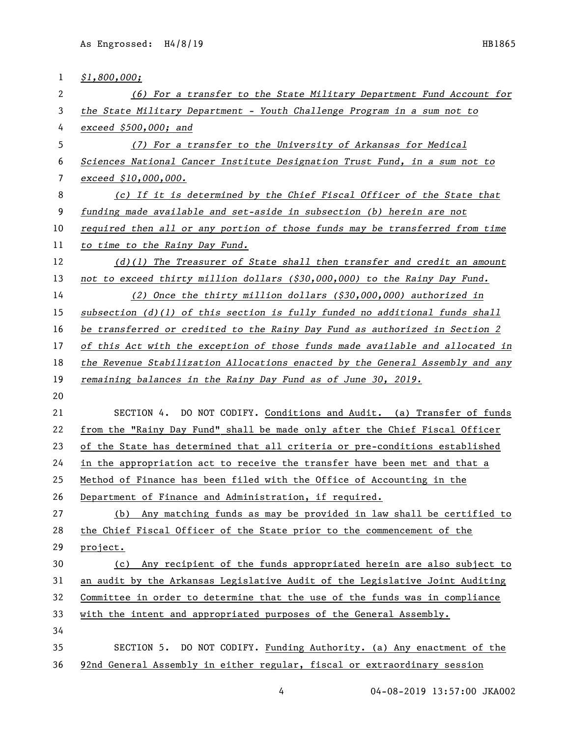| 1  | \$1,800,000;                                                                   |
|----|--------------------------------------------------------------------------------|
| 2  | (6) For a transfer to the State Military Department Fund Account for           |
| 3  | the State Military Department - Youth Challenge Program in a sum not to        |
| 4  | exceed $$500,000;$ and                                                         |
| 5  | (7) For a transfer to the University of Arkansas for Medical                   |
| 6  | Sciences National Cancer Institute Designation Trust Fund, in a sum not to     |
| 7  | exceed 10,000,000.                                                             |
| 8  | (c) If it is determined by the Chief Fiscal Officer of the State that          |
| 9  | funding made available and set-aside in subsection (b) herein are not          |
| 10 | required then all or any portion of those funds may be transferred from time   |
| 11 | to time to the Rainy Day Fund.                                                 |
| 12 | $(d)(1)$ The Treasurer of State shall then transfer and credit an amount       |
| 13 | not to exceed thirty million dollars (\$30,000,000) to the Rainy Day Fund.     |
| 14 | (2) Once the thirty million dollars $(330,000,000)$ authorized in              |
| 15 | subsection $(d)$ (1) of this section is fully funded no additional funds shall |
| 16 | be transferred or credited to the Rainy Day Fund as authorized in Section 2    |
| 17 | of this Act with the exception of those funds made available and allocated in  |
| 18 | the Revenue Stabilization Allocations enacted by the General Assembly and any  |
| 19 | remaining balances in the Rainy Day Fund as of June 30, 2019.                  |
| 20 |                                                                                |
| 21 | SECTION 4. DO NOT CODIFY. Conditions and Audit. (a) Transfer of funds          |
| 22 | from the "Rainy Day Fund" shall be made only after the Chief Fiscal Officer    |
| 23 | of the State has determined that all criteria or pre-conditions established    |
| 24 | in the appropriation act to receive the transfer have been met and that a      |
| 25 | Method of Finance has been filed with the Office of Accounting in the          |
| 26 | Department of Finance and Administration, if required.                         |
| 27 | Any matching funds as may be provided in law shall be certified to<br>(b)      |
| 28 | the Chief Fiscal Officer of the State prior to the commencement of the         |
| 29 | project.                                                                       |
| 30 | Any recipient of the funds appropriated herein are also subject to<br>(c)      |
| 31 | an audit by the Arkansas Legislative Audit of the Legislative Joint Auditing   |
| 32 | Committee in order to determine that the use of the funds was in compliance    |
| 33 | with the intent and appropriated purposes of the General Assembly.             |
| 34 |                                                                                |
| 35 | SECTION 5. DO NOT CODIFY. Funding Authority. (a) Any enactment of the          |
| 36 | 92nd General Assembly in either regular, fiscal or extraordinary session       |

04-08-2019 13:57:00 JKA002